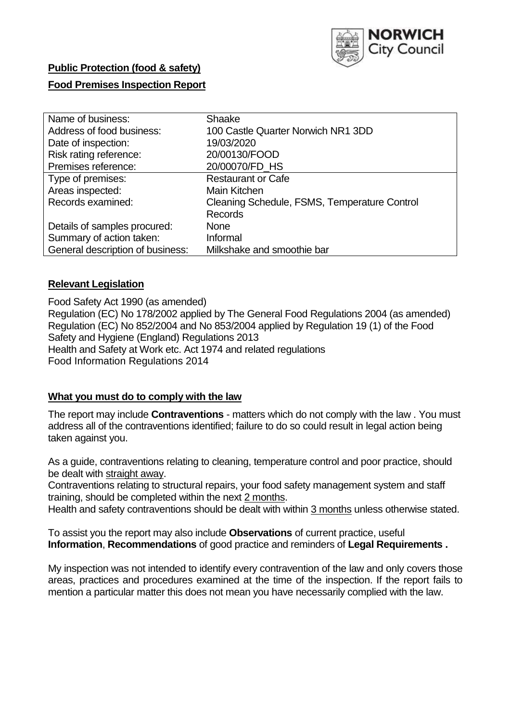

# **Public Protection (food & safety)**

## **Food Premises Inspection Report**

| Name of business:                | Shaake                                       |
|----------------------------------|----------------------------------------------|
| Address of food business:        | 100 Castle Quarter Norwich NR1 3DD           |
| Date of inspection:              | 19/03/2020                                   |
| Risk rating reference:           | 20/00130/FOOD                                |
| Premises reference:              | 20/00070/FD_HS                               |
| Type of premises:                | <b>Restaurant or Cafe</b>                    |
| Areas inspected:                 | Main Kitchen                                 |
| Records examined:                | Cleaning Schedule, FSMS, Temperature Control |
|                                  | <b>Records</b>                               |
| Details of samples procured:     | <b>None</b>                                  |
| Summary of action taken:         | Informal                                     |
| General description of business: | Milkshake and smoothie bar                   |

### **Relevant Legislation**

Food Safety Act 1990 (as amended) Regulation (EC) No 178/2002 applied by The General Food Regulations 2004 (as amended) Regulation (EC) No 852/2004 and No 853/2004 applied by Regulation 19 (1) of the Food Safety and Hygiene (England) Regulations 2013 Health and Safety at Work etc. Act 1974 and related regulations Food Information Regulations 2014

### **What you must do to comply with the law**

The report may include **Contraventions** - matters which do not comply with the law . You must address all of the contraventions identified; failure to do so could result in legal action being taken against you.

As a guide, contraventions relating to cleaning, temperature control and poor practice, should be dealt with straight away.

Contraventions relating to structural repairs, your food safety management system and staff training, should be completed within the next 2 months.

Health and safety contraventions should be dealt with within 3 months unless otherwise stated.

To assist you the report may also include **Observations** of current practice, useful **Information**, **Recommendations** of good practice and reminders of **Legal Requirements .**

My inspection was not intended to identify every contravention of the law and only covers those areas, practices and procedures examined at the time of the inspection. If the report fails to mention a particular matter this does not mean you have necessarily complied with the law.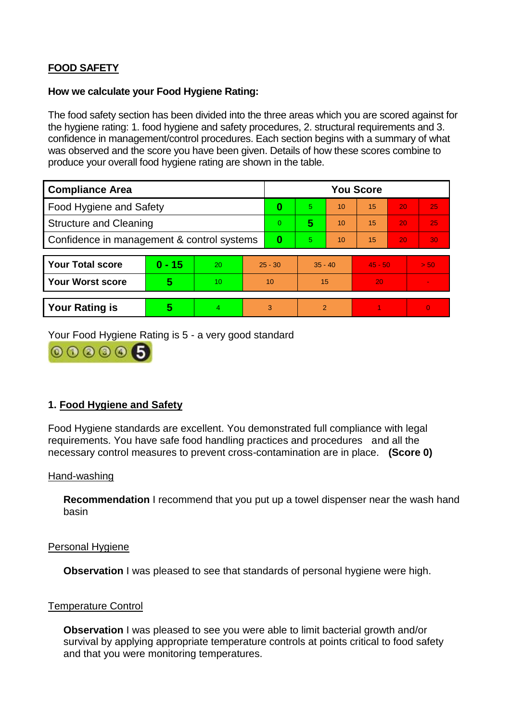# **FOOD SAFETY**

#### **How we calculate your Food Hygiene Rating:**

The food safety section has been divided into the three areas which you are scored against for the hygiene rating: 1. food hygiene and safety procedures, 2. structural requirements and 3. confidence in management/control procedures. Each section begins with a summary of what was observed and the score you have been given. Details of how these scores combine to produce your overall food hygiene rating are shown in the table.

| <b>Compliance Area</b>                     |          |    |           | <b>You Score</b> |                |    |           |    |                |  |  |
|--------------------------------------------|----------|----|-----------|------------------|----------------|----|-----------|----|----------------|--|--|
| Food Hygiene and Safety                    |          |    | 0         | 5                | 10             | 15 | 20        | 25 |                |  |  |
| <b>Structure and Cleaning</b>              |          |    | $\Omega$  | 5                | 10             | 15 | 20        | 25 |                |  |  |
| Confidence in management & control systems |          |    | 0         | 5                | 10             | 15 | 20        | 30 |                |  |  |
|                                            |          |    |           |                  |                |    |           |    |                |  |  |
| <b>Your Total score</b>                    | $0 - 15$ | 20 | $25 - 30$ |                  | $35 - 40$      |    | $45 - 50$ |    | > 50           |  |  |
| <b>Your Worst score</b>                    | 5        | 10 | 10        |                  | 15             |    | 20        |    | $\blacksquare$ |  |  |
|                                            |          |    |           |                  |                |    |           |    |                |  |  |
| <b>Your Rating is</b>                      | 5        | 4  | 3         |                  | $\overline{2}$ |    |           |    | $\Omega$       |  |  |

Your Food Hygiene Rating is 5 - a very good standard



## **1. Food Hygiene and Safety**

Food Hygiene standards are excellent. You demonstrated full compliance with legal requirements. You have safe food handling practices and procedures and all the necessary control measures to prevent cross-contamination are in place. **(Score 0)**

#### Hand-washing

**Recommendation** I recommend that you put up a towel dispenser near the wash hand basin

### Personal Hygiene

**Observation** I was pleased to see that standards of personal hygiene were high.

### Temperature Control

**Observation** I was pleased to see you were able to limit bacterial growth and/or survival by applying appropriate temperature controls at points critical to food safety and that you were monitoring temperatures.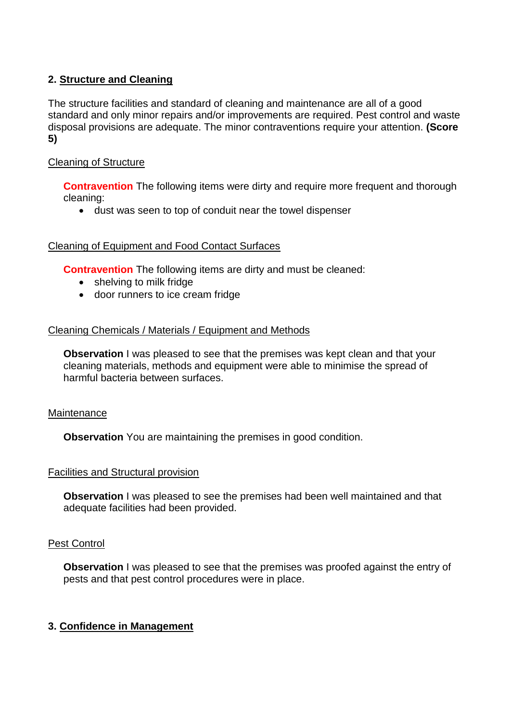## **2. Structure and Cleaning**

The structure facilities and standard of cleaning and maintenance are all of a good standard and only minor repairs and/or improvements are required. Pest control and waste disposal provisions are adequate. The minor contraventions require your attention. **(Score 5)**

## Cleaning of Structure

**Contravention** The following items were dirty and require more frequent and thorough cleaning:

dust was seen to top of conduit near the towel dispenser

### Cleaning of Equipment and Food Contact Surfaces

**Contravention** The following items are dirty and must be cleaned:

- shelving to milk fridge
- door runners to ice cream fridge

### Cleaning Chemicals / Materials / Equipment and Methods

**Observation** I was pleased to see that the premises was kept clean and that your cleaning materials, methods and equipment were able to minimise the spread of harmful bacteria between surfaces.

### **Maintenance**

**Observation** You are maintaining the premises in good condition.

### Facilities and Structural provision

**Observation** I was pleased to see the premises had been well maintained and that adequate facilities had been provided.

### Pest Control

**Observation** I was pleased to see that the premises was proofed against the entry of pests and that pest control procedures were in place.

### **3. Confidence in Management**